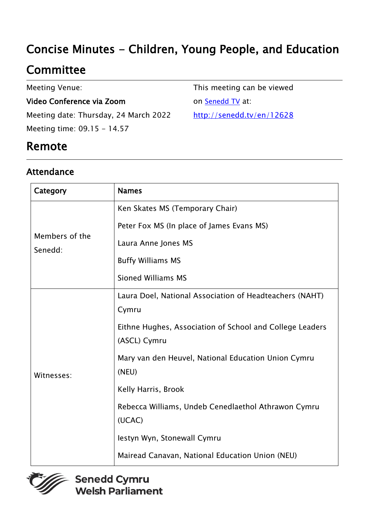# Concise Minutes - Children, Young People, and Education

# **Committee**

Meeting Venue:

#### Video Conference via Zoom

Meeting date: Thursday, 24 March 2022 Meeting time: 09.15 - 14.57

This meeting can be viewed on **[Senedd TV](http://senedd.tv/)** at:

[http://senedd.tv/en/12628](http://www.senedd.tv/Meeting/Archive/0c904054-2773-4889-92be-dd747bc95bf2?autostart=True)

## Remote

### Attendance

| Category                  | <b>Names</b>                                                             |
|---------------------------|--------------------------------------------------------------------------|
| Members of the<br>Senedd: | Ken Skates MS (Temporary Chair)                                          |
|                           | Peter Fox MS (In place of James Evans MS)                                |
|                           | Laura Anne Jones MS                                                      |
|                           | <b>Buffy Williams MS</b>                                                 |
|                           | <b>Sioned Williams MS</b>                                                |
| Witnesses:                | Laura Doel, National Association of Headteachers (NAHT)<br>Cymru         |
|                           | Eithne Hughes, Association of School and College Leaders<br>(ASCL) Cymru |
|                           | Mary van den Heuvel, National Education Union Cymru<br>(NEU)             |
|                           | Kelly Harris, Brook                                                      |
|                           | Rebecca Williams, Undeb Cenedlaethol Athrawon Cymru<br>(UCAC)            |
|                           | lestyn Wyn, Stonewall Cymru                                              |
|                           | Mairead Canavan, National Education Union (NEU)                          |

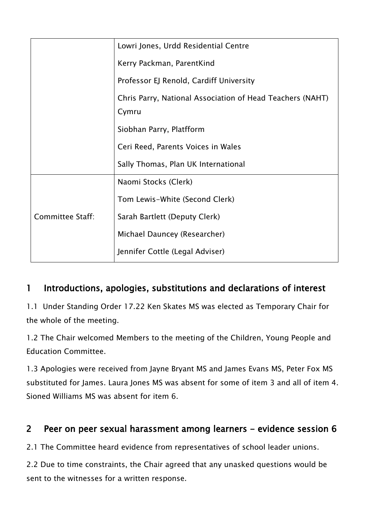|                         | Lowri Jones, Urdd Residential Centre                      |
|-------------------------|-----------------------------------------------------------|
|                         |                                                           |
|                         | Kerry Packman, ParentKind                                 |
|                         | Professor EJ Renold, Cardiff University                   |
|                         | Chris Parry, National Association of Head Teachers (NAHT) |
|                         | Cymru                                                     |
|                         | Siobhan Parry, Platfform                                  |
|                         | Ceri Reed, Parents Voices in Wales                        |
|                         | Sally Thomas, Plan UK International                       |
| <b>Committee Staff:</b> | Naomi Stocks (Clerk)                                      |
|                         | Tom Lewis-White (Second Clerk)                            |
|                         | Sarah Bartlett (Deputy Clerk)                             |
|                         | Michael Dauncey (Researcher)                              |
|                         | Jennifer Cottle (Legal Adviser)                           |

## 1 Introductions, apologies, substitutions and declarations of interest

1.1 Under Standing Order 17.22 Ken Skates MS was elected as Temporary Chair for the whole of the meeting.

1.2 The Chair welcomed Members to the meeting of the Children, Young People and Education Committee.

1.3 Apologies were received from Jayne Bryant MS and James Evans MS, Peter Fox MS substituted for James. Laura Jones MS was absent for some of item 3 and all of item 4. Sioned Williams MS was absent for item 6.

### 2 Peer on peer sexual harassment among learners - evidence session 6

2.1 The Committee heard evidence from representatives of school leader unions.

2.2 Due to time constraints, the Chair agreed that any unasked questions would be sent to the witnesses for a written response.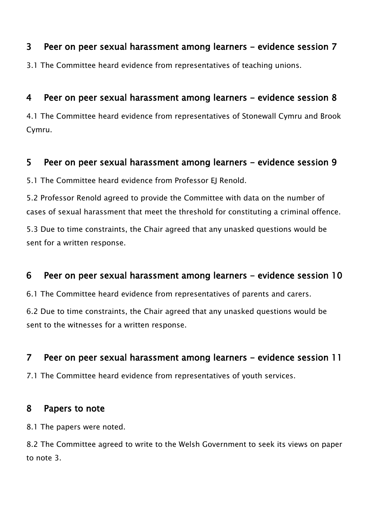#### 3 Peer on peer sexual harassment among learners - evidence session 7

3.1 The Committee heard evidence from representatives of teaching unions.

### 4 Peer on peer sexual harassment among learners - evidence session 8

4.1 The Committee heard evidence from representatives of Stonewall Cymru and Brook Cymru.

#### 5 Peer on peer sexual harassment among learners - evidence session 9

5.1 The Committee heard evidence from Professor EJ Renold.

5.2 Professor Renold agreed to provide the Committee with data on the number of cases of sexual harassment that meet the threshold for constituting a criminal offence.

5.3 Due to time constraints, the Chair agreed that any unasked questions would be sent for a written response.

#### 6 Peer on peer sexual harassment among learners - evidence session 10

6.1 The Committee heard evidence from representatives of parents and carers.

6.2 Due to time constraints, the Chair agreed that any unasked questions would be sent to the witnesses for a written response.

#### 7 Peer on peer sexual harassment among learners - evidence session 11

7.1 The Committee heard evidence from representatives of youth services.

#### 8 Papers to note

8.1 The papers were noted.

8.2 The Committee agreed to write to the Welsh Government to seek its views on paper to note 3.